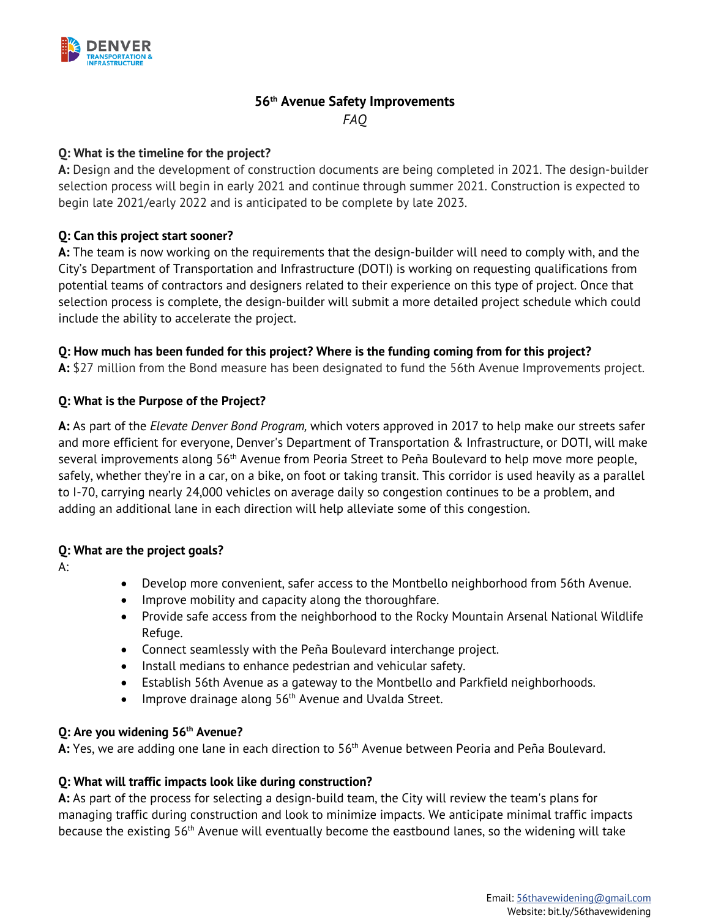

# **56th Avenue Safety Improvements**  *FAQ*

### **Q: What is the timeline for the project?**

**A:** Design and the development of construction documents are being completed in 2021. The design-builder selection process will begin in early 2021 and continue through summer 2021. Construction is expected to begin late 2021/early 2022 and is anticipated to be complete by late 2023.

### **Q: Can this project start sooner?**

**A:** The team is now working on the requirements that the design-builder will need to comply with, and the City's Department of Transportation and Infrastructure (DOTI) is working on requesting qualifications from potential teams of contractors and designers related to their experience on this type of project. Once that selection process is complete, the design-builder will submit a more detailed project schedule which could include the ability to accelerate the project.

### **Q: How much has been funded for this project? Where is the funding coming from for this project?**

**A:** \$27 million from the Bond measure has been designated to fund the 56th Avenue Improvements project.

# **Q: What is the Purpose of the Project?**

**A:** As part of the *Elevate Denver Bond Program,* which voters approved in 2017 to help make our streets safer and more efficient for everyone, Denver's Department of Transportation & Infrastructure, or DOTI, will make several improvements along 56th Avenue from Peoria Street to Peña Boulevard to help move more people, safely, whether they're in a car, on a bike, on foot or taking transit. This corridor is used heavily as a parallel to I-70, carrying nearly 24,000 vehicles on average daily so congestion continues to be a problem, and adding an additional lane in each direction will help alleviate some of this congestion.

#### **Q: What are the project goals?**

A:

- Develop more convenient, safer access to the Montbello neighborhood from 56th Avenue.
- Improve mobility and capacity along the thoroughfare.
- Provide safe access from the neighborhood to the Rocky Mountain Arsenal National Wildlife Refuge.
- Connect seamlessly with the Peña Boulevard interchange project.
- Install medians to enhance pedestrian and vehicular safety.
- Establish 56th Avenue as a gateway to the Montbello and Parkfield neighborhoods.
- Improve drainage along  $56<sup>th</sup>$  Avenue and Uvalda Street.

#### **Q: Are you widening 56th Avenue?**

A: Yes, we are adding one lane in each direction to 56<sup>th</sup> Avenue between Peoria and Peña Boulevard.

# **Q: What will traffic impacts look like during construction?**

**A:** As part of the process for selecting a design-build team, the City will review the team's plans for managing traffic during construction and look to minimize impacts. We anticipate minimal traffic impacts because the existing 56th Avenue will eventually become the eastbound lanes, so the widening will take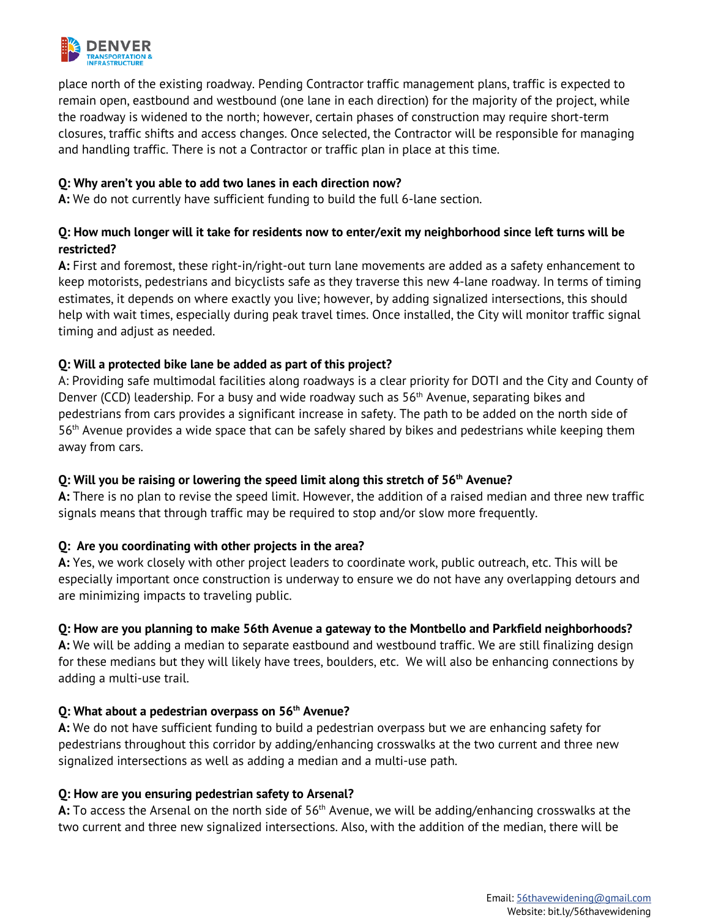

place north of the existing roadway. Pending Contractor traffic management plans, traffic is expected to remain open, eastbound and westbound (one lane in each direction) for the majority of the project, while the roadway is widened to the north; however, certain phases of construction may require short-term closures, traffic shifts and access changes. Once selected, the Contractor will be responsible for managing and handling traffic. There is not a Contractor or traffic plan in place at this time.

#### **Q: Why aren't you able to add two lanes in each direction now?**

**A:** We do not currently have sufficient funding to build the full 6-lane section.

# **Q: How much longer will it take for residents now to enter/exit my neighborhood since left turns will be restricted?**

**A:** First and foremost, these right-in/right-out turn lane movements are added as a safety enhancement to keep motorists, pedestrians and bicyclists safe as they traverse this new 4-lane roadway. In terms of timing estimates, it depends on where exactly you live; however, by adding signalized intersections, this should help with wait times, especially during peak travel times. Once installed, the City will monitor traffic signal timing and adjust as needed.

### **Q: Will a protected bike lane be added as part of this project?**

A: Providing safe multimodal facilities along roadways is a clear priority for DOTI and the City and County of Denver (CCD) leadership. For a busy and wide roadway such as  $56<sup>th</sup>$  Avenue, separating bikes and pedestrians from cars provides a significant increase in safety. The path to be added on the north side of 56th Avenue provides a wide space that can be safely shared by bikes and pedestrians while keeping them away from cars.

#### **Q: Will you be raising or lowering the speed limit along this stretch of 56th Avenue?**

**A:** There is no plan to revise the speed limit. However, the addition of a raised median and three new traffic signals means that through traffic may be required to stop and/or slow more frequently.

#### **Q: Are you coordinating with other projects in the area?**

**A:** Yes, we work closely with other project leaders to coordinate work, public outreach, etc. This will be especially important once construction is underway to ensure we do not have any overlapping detours and are minimizing impacts to traveling public.

#### **Q: How are you planning to make 56th Avenue a gateway to the Montbello and Parkfield neighborhoods?**

**A:** We will be adding a median to separate eastbound and westbound traffic. We are still finalizing design for these medians but they will likely have trees, boulders, etc. We will also be enhancing connections by adding a multi-use trail.

#### **Q: What about a pedestrian overpass on 56th Avenue?**

**A:** We do not have sufficient funding to build a pedestrian overpass but we are enhancing safety for pedestrians throughout this corridor by adding/enhancing crosswalks at the two current and three new signalized intersections as well as adding a median and a multi-use path.

#### **Q: How are you ensuring pedestrian safety to Arsenal?**

A: To access the Arsenal on the north side of 56<sup>th</sup> Avenue, we will be adding/enhancing crosswalks at the two current and three new signalized intersections. Also, with the addition of the median, there will be